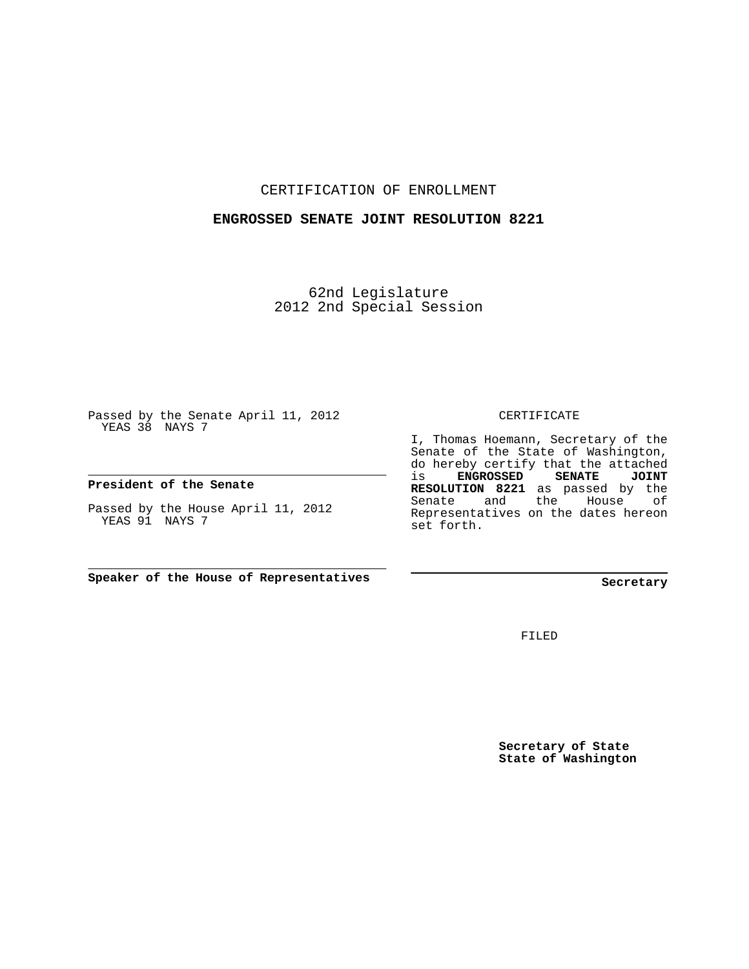CERTIFICATION OF ENROLLMENT

## **ENGROSSED SENATE JOINT RESOLUTION 8221**

62nd Legislature 2012 2nd Special Session

Passed by the Senate April 11, 2012 YEAS 38 NAYS 7

**President of the Senate**

Passed by the House April 11, 2012 YEAS 91 NAYS 7

**Speaker of the House of Representatives**

## CERTIFICATE

I, Thomas Hoemann, Secretary of the Senate of the State of Washington, do hereby certify that the attached is **ENGROSSED SENATE JOINT RESOLUTION 8221** as passed by the Senate and the House of Representatives on the dates hereon set forth.

**Secretary**

FILED

**Secretary of State State of Washington**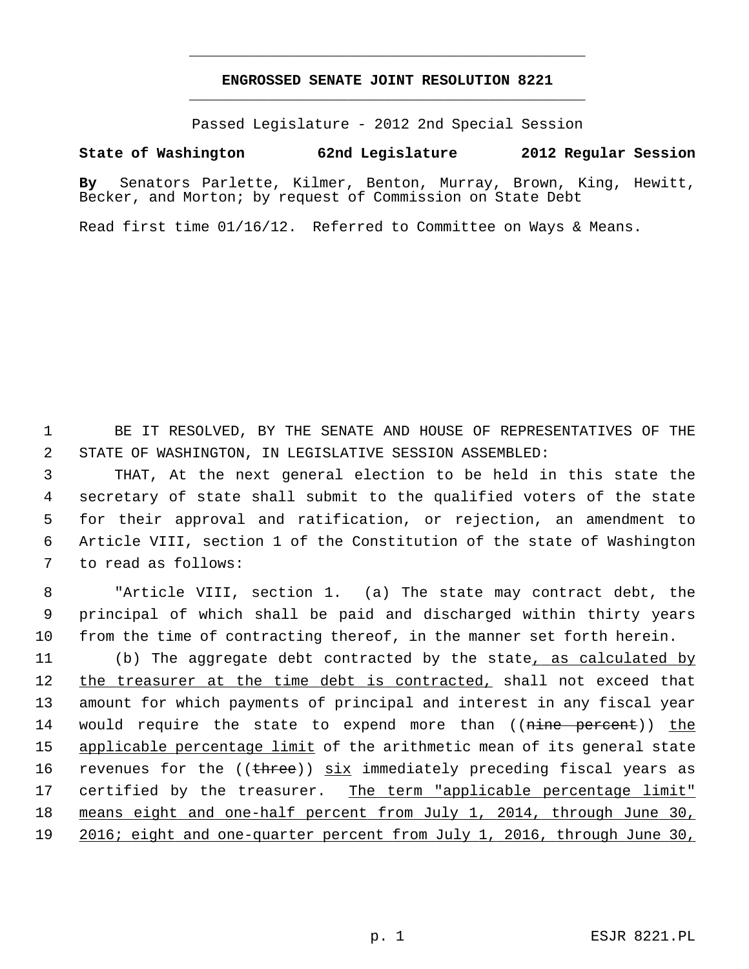## **ENGROSSED SENATE JOINT RESOLUTION 8221** \_\_\_\_\_\_\_\_\_\_\_\_\_\_\_\_\_\_\_\_\_\_\_\_\_\_\_\_\_\_\_\_\_\_\_\_\_\_\_\_\_\_\_\_\_

\_\_\_\_\_\_\_\_\_\_\_\_\_\_\_\_\_\_\_\_\_\_\_\_\_\_\_\_\_\_\_\_\_\_\_\_\_\_\_\_\_\_\_\_\_

Passed Legislature - 2012 2nd Special Session

## **State of Washington 62nd Legislature 2012 Regular Session**

**By** Senators Parlette, Kilmer, Benton, Murray, Brown, King, Hewitt, Becker, and Morton; by request of Commission on State Debt

Read first time 01/16/12. Referred to Committee on Ways & Means.

 1 BE IT RESOLVED, BY THE SENATE AND HOUSE OF REPRESENTATIVES OF THE 2 STATE OF WASHINGTON, IN LEGISLATIVE SESSION ASSEMBLED:

 3 THAT, At the next general election to be held in this state the 4 secretary of state shall submit to the qualified voters of the state 5 for their approval and ratification, or rejection, an amendment to 6 Article VIII, section 1 of the Constitution of the state of Washington 7 to read as follows:

 8 "Article VIII, section 1. (a) The state may contract debt, the 9 principal of which shall be paid and discharged within thirty years 10 from the time of contracting thereof, in the manner set forth herein.

11 (b) The aggregate debt contracted by the state, as calculated by 12 the treasurer at the time debt is contracted, shall not exceed that 13 amount for which payments of principal and interest in any fiscal year 14 would require the state to expend more than ((nine percent)) the 15 applicable percentage limit of the arithmetic mean of its general state 16 revenues for the  $((there))$   $\underline{\text{six}}$  immediately preceding fiscal years as 17 certified by the treasurer. The term "applicable percentage limit" 18 means eight and one-half percent from July 1, 2014, through June 30, 19 2016; eight and one-quarter percent from July 1, 2016, through June 30,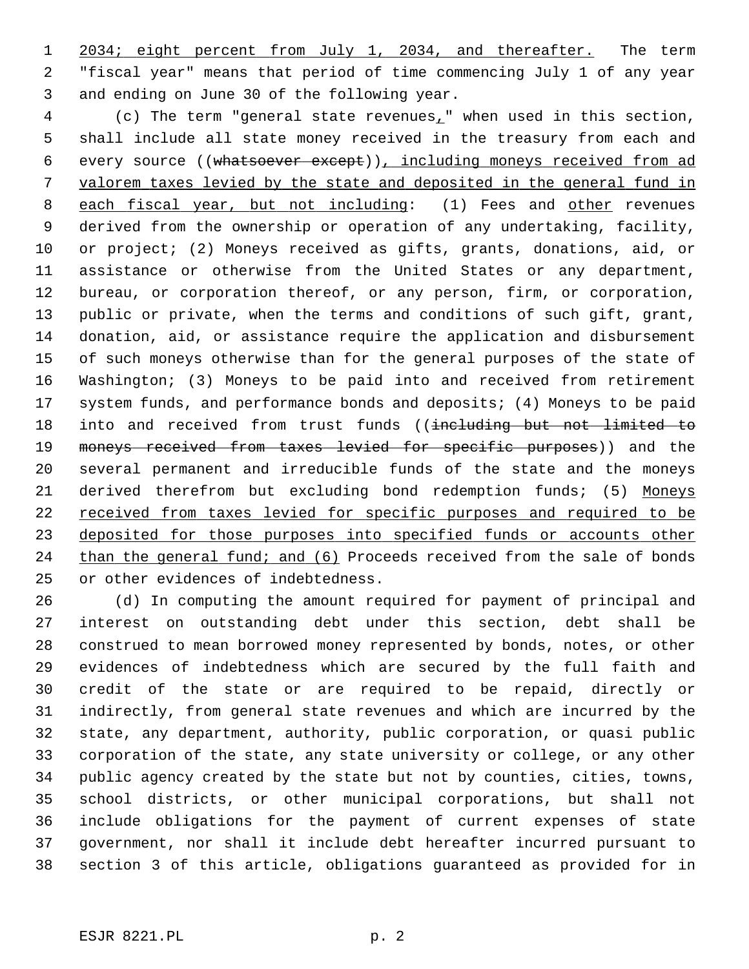1 2034; eight percent from July 1, 2034, and thereafter. The term 2 "fiscal year" means that period of time commencing July 1 of any year 3 and ending on June 30 of the following year.

 4 (c) The term "general state revenues," when used in this section, 5 shall include all state money received in the treasury from each and 6 every source ((whatsoever except)), including moneys received from ad 7 valorem taxes levied by the state and deposited in the general fund in 8 each fiscal year, but not including: (1) Fees and other revenues 9 derived from the ownership or operation of any undertaking, facility, 10 or project; (2) Moneys received as gifts, grants, donations, aid, or 11 assistance or otherwise from the United States or any department, 12 bureau, or corporation thereof, or any person, firm, or corporation, 13 public or private, when the terms and conditions of such gift, grant, 14 donation, aid, or assistance require the application and disbursement 15 of such moneys otherwise than for the general purposes of the state of 16 Washington; (3) Moneys to be paid into and received from retirement 17 system funds, and performance bonds and deposits; (4) Moneys to be paid 18 into and received from trust funds ((including but not limited to 19 moneys received from taxes levied for specific purposes)) and the 20 several permanent and irreducible funds of the state and the moneys 21 derived therefrom but excluding bond redemption funds; (5) Moneys 22 received from taxes levied for specific purposes and required to be 23 deposited for those purposes into specified funds or accounts other 24 than the general fund; and (6) Proceeds received from the sale of bonds 25 or other evidences of indebtedness.

26 (d) In computing the amount required for payment of principal and 27 interest on outstanding debt under this section, debt shall be 28 construed to mean borrowed money represented by bonds, notes, or other 29 evidences of indebtedness which are secured by the full faith and 30 credit of the state or are required to be repaid, directly or 31 indirectly, from general state revenues and which are incurred by the 32 state, any department, authority, public corporation, or quasi public 33 corporation of the state, any state university or college, or any other 34 public agency created by the state but not by counties, cities, towns, 35 school districts, or other municipal corporations, but shall not 36 include obligations for the payment of current expenses of state 37 government, nor shall it include debt hereafter incurred pursuant to 38 section 3 of this article, obligations guaranteed as provided for in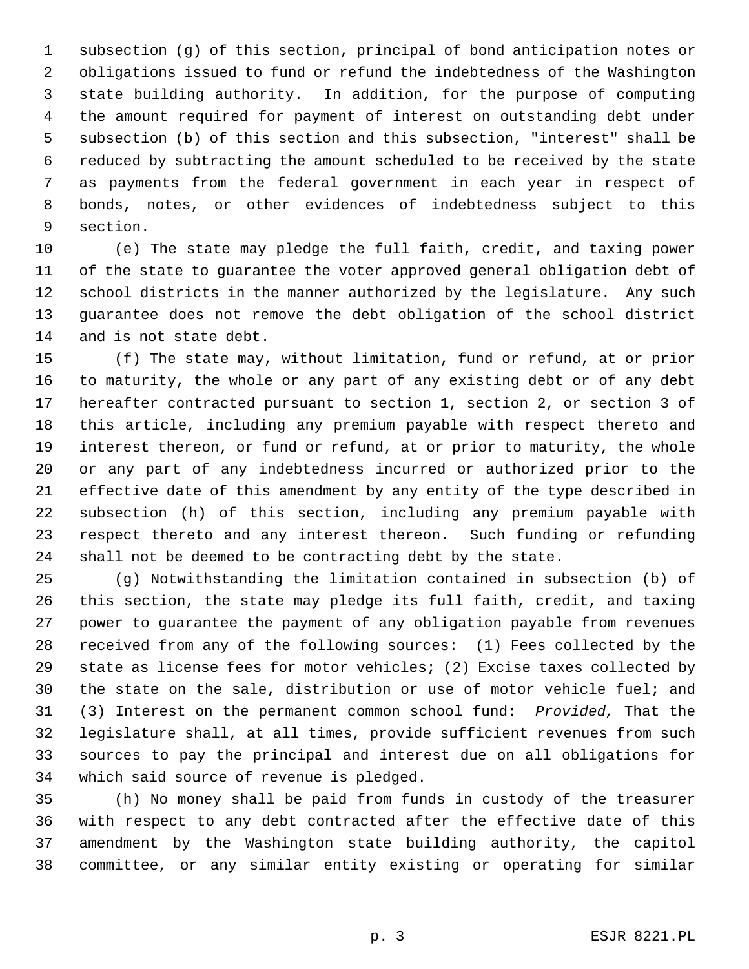1 subsection (g) of this section, principal of bond anticipation notes or 2 obligations issued to fund or refund the indebtedness of the Washington 3 state building authority. In addition, for the purpose of computing 4 the amount required for payment of interest on outstanding debt under 5 subsection (b) of this section and this subsection, "interest" shall be 6 reduced by subtracting the amount scheduled to be received by the state 7 as payments from the federal government in each year in respect of 8 bonds, notes, or other evidences of indebtedness subject to this 9 section.

10 (e) The state may pledge the full faith, credit, and taxing power 11 of the state to guarantee the voter approved general obligation debt of 12 school districts in the manner authorized by the legislature. Any such 13 guarantee does not remove the debt obligation of the school district 14 and is not state debt.

15 (f) The state may, without limitation, fund or refund, at or prior 16 to maturity, the whole or any part of any existing debt or of any debt 17 hereafter contracted pursuant to section 1, section 2, or section 3 of 18 this article, including any premium payable with respect thereto and 19 interest thereon, or fund or refund, at or prior to maturity, the whole 20 or any part of any indebtedness incurred or authorized prior to the 21 effective date of this amendment by any entity of the type described in 22 subsection (h) of this section, including any premium payable with 23 respect thereto and any interest thereon. Such funding or refunding 24 shall not be deemed to be contracting debt by the state.

25 (g) Notwithstanding the limitation contained in subsection (b) of 26 this section, the state may pledge its full faith, credit, and taxing 27 power to guarantee the payment of any obligation payable from revenues 28 received from any of the following sources: (1) Fees collected by the 29 state as license fees for motor vehicles; (2) Excise taxes collected by 30 the state on the sale, distribution or use of motor vehicle fuel; and 31 (3) Interest on the permanent common school fund: *Provided,* That the 32 legislature shall, at all times, provide sufficient revenues from such 33 sources to pay the principal and interest due on all obligations for 34 which said source of revenue is pledged.

35 (h) No money shall be paid from funds in custody of the treasurer 36 with respect to any debt contracted after the effective date of this 37 amendment by the Washington state building authority, the capitol 38 committee, or any similar entity existing or operating for similar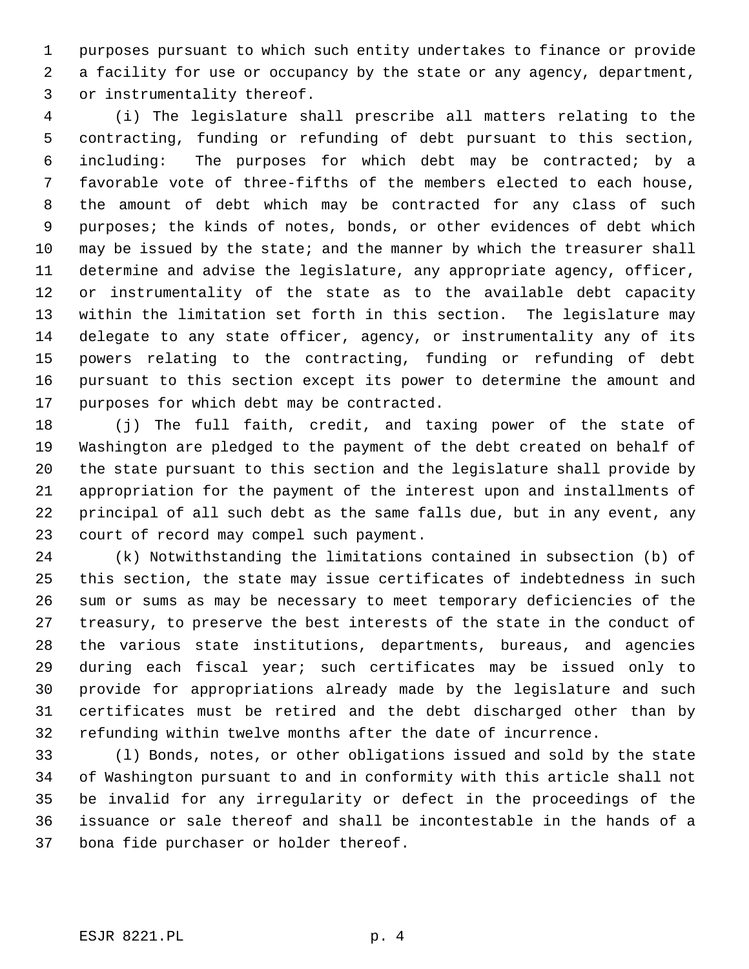1 purposes pursuant to which such entity undertakes to finance or provide 2 a facility for use or occupancy by the state or any agency, department, 3 or instrumentality thereof.

 4 (i) The legislature shall prescribe all matters relating to the 5 contracting, funding or refunding of debt pursuant to this section, 6 including: The purposes for which debt may be contracted; by a 7 favorable vote of three-fifths of the members elected to each house, 8 the amount of debt which may be contracted for any class of such 9 purposes; the kinds of notes, bonds, or other evidences of debt which 10 may be issued by the state; and the manner by which the treasurer shall 11 determine and advise the legislature, any appropriate agency, officer, 12 or instrumentality of the state as to the available debt capacity 13 within the limitation set forth in this section. The legislature may 14 delegate to any state officer, agency, or instrumentality any of its 15 powers relating to the contracting, funding or refunding of debt 16 pursuant to this section except its power to determine the amount and 17 purposes for which debt may be contracted.

18 (j) The full faith, credit, and taxing power of the state of 19 Washington are pledged to the payment of the debt created on behalf of 20 the state pursuant to this section and the legislature shall provide by 21 appropriation for the payment of the interest upon and installments of 22 principal of all such debt as the same falls due, but in any event, any 23 court of record may compel such payment.

24 (k) Notwithstanding the limitations contained in subsection (b) of 25 this section, the state may issue certificates of indebtedness in such 26 sum or sums as may be necessary to meet temporary deficiencies of the 27 treasury, to preserve the best interests of the state in the conduct of 28 the various state institutions, departments, bureaus, and agencies 29 during each fiscal year; such certificates may be issued only to 30 provide for appropriations already made by the legislature and such 31 certificates must be retired and the debt discharged other than by 32 refunding within twelve months after the date of incurrence.

33 (l) Bonds, notes, or other obligations issued and sold by the state 34 of Washington pursuant to and in conformity with this article shall not 35 be invalid for any irregularity or defect in the proceedings of the 36 issuance or sale thereof and shall be incontestable in the hands of a 37 bona fide purchaser or holder thereof.